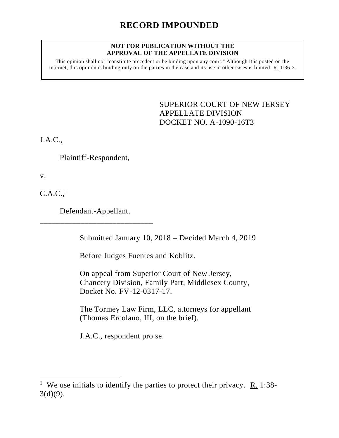## **NOT FOR PUBLICATION WITHOUT THE APPROVAL OF THE APPELLATE DIVISION**

This opinion shall not "constitute precedent or be binding upon any court." Although it is posted on the internet, this opinion is binding only on the parties in the case and its use in other cases is limited.  $R_1$  1:36-3.

> <span id="page-0-0"></span>SUPERIOR COURT OF NEW JERSEY APPELLATE DIVISION DOCKET NO. A-1090-16T3

J.A.C.,

Plaintiff-Respondent,

v.

 $\overline{a}$ 

 $C.A.C.<sub>1</sub>$ 

Defendant-Appellant. \_\_\_\_\_\_\_\_\_\_\_\_\_\_\_\_\_\_\_\_\_\_\_\_\_\_\_\_

Submitted January 10, 2018 – Decided March 4, 2019

Before Judges Fuentes and Koblitz.

On appeal from Superior Court of New Jersey, Chancery Division, Family Part, Middlesex County, Docket No. FV-12-0317-17.

The Tormey Law Firm, LLC, attorneys for appellant (Thomas Ercolano, III, on the brief).

J.A.C., respondent pro se.

<sup>&</sup>lt;sup>1</sup> We use initials to identify the parties to protect their privacy.  $R_1$  1:38- $3(d)(9)$ .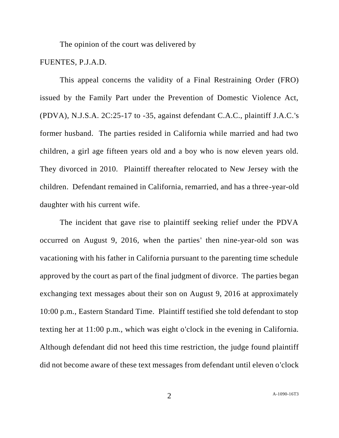The opinion of the court was delivered by

## FUENTES, P.J.A.D.

This appeal concerns the validity of a Final Restraining Order (FRO) issued by the Family Part under the Prevention of Domestic Violence Act, (PDVA), N.J.S.A. 2C:25-17 to -35, against defendant C.A.C., plaintiff J.A.C.'s former husband. The parties resided in California while married and had two children, a girl age fifteen years old and a boy who is now eleven years old. They divorced in 2010. Plaintiff thereafter relocated to New Jersey with the children. Defendant remained in California, remarried, and has a three-year-old daughter with his current wife.

The incident that gave rise to plaintiff seeking relief under the PDVA occurred on August 9, 2016, when the parties' then nine-year-old son was vacationing with his father in California pursuant to the parenting time schedule approved by the court as part of the final judgment of divorce. The parties began exchanging text messages about their son on August 9, 2016 at approximately 10:00 p.m., Eastern Standard Time. Plaintiff testified she told defendant to stop texting her at 11:00 p.m., which was eight o'clock in the evening in California. Although defendant did not heed this time restriction, the judge found plaintiff did not become aware of these text messages from defendant until eleven o'clock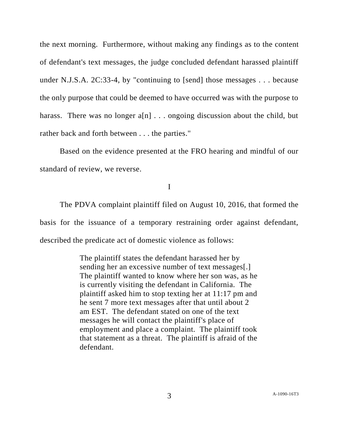the next morning. Furthermore, without making any findings as to the content of defendant's text messages, the judge concluded defendant harassed plaintiff under N.J.S.A. 2C:33-4, by "continuing to [send] those messages . . . because the only purpose that could be deemed to have occurred was with the purpose to harass. There was no longer a[n] . . . ongoing discussion about the child, but rather back and forth between . . . the parties."

Based on the evidence presented at the FRO hearing and mindful of our standard of review, we reverse.

I

The PDVA complaint plaintiff filed on August 10, 2016, that formed the basis for the issuance of a temporary restraining order against defendant, described the predicate act of domestic violence as follows:

> The plaintiff states the defendant harassed her by sending her an excessive number of text messages[.] The plaintiff wanted to know where her son was, as he is currently visiting the defendant in California. The plaintiff asked him to stop texting her at 11:17 pm and he sent 7 more text messages after that until about 2 am EST. The defendant stated on one of the text messages he will contact the plaintiff's place of employment and place a complaint. The plaintiff took that statement as a threat. The plaintiff is afraid of the defendant.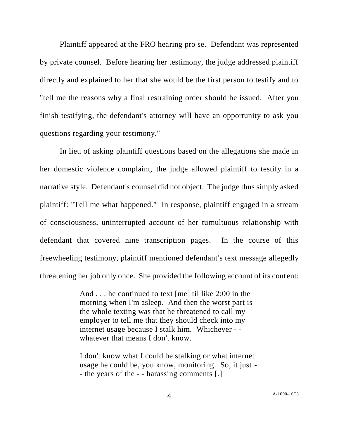Plaintiff appeared at the FRO hearing pro se. Defendant was represented by private counsel. Before hearing her testimony, the judge addressed plaintiff directly and explained to her that she would be the first person to testify and to "tell me the reasons why a final restraining order should be issued. After you finish testifying, the defendant's attorney will have an opportunity to ask you questions regarding your testimony."

In lieu of asking plaintiff questions based on the allegations she made in her domestic violence complaint, the judge allowed plaintiff to testify in a narrative style. Defendant's counsel did not object. The judge thus simply asked plaintiff: "Tell me what happened." In response, plaintiff engaged in a stream of consciousness, uninterrupted account of her tumultuous relationship with defendant that covered nine transcription pages. In the course of this freewheeling testimony, plaintiff mentioned defendant's text message allegedly threatening her job only once. She provided the following account of its content:

> And . . . he continued to text [me] til like 2:00 in the morning when I'm asleep. And then the worst part is the whole texting was that he threatened to call my employer to tell me that they should check into my internet usage because I stalk him. Whichever - whatever that means I don't know.

I don't know what I could be stalking or what internet usage he could be, you know, monitoring. So, it just - - the years of the - - harassing comments [.]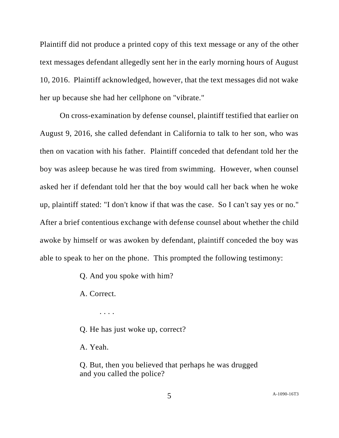Plaintiff did not produce a printed copy of this text message or any of the other text messages defendant allegedly sent her in the early morning hours of August 10, 2016. Plaintiff acknowledged, however, that the text messages did not wake her up because she had her cellphone on "vibrate."

On cross-examination by defense counsel, plaintiff testified that earlier on August 9, 2016, she called defendant in California to talk to her son, who was then on vacation with his father. Plaintiff conceded that defendant told her the boy was asleep because he was tired from swimming. However, when counsel asked her if defendant told her that the boy would call her back when he woke up, plaintiff stated: "I don't know if that was the case. So I can't say yes or no." After a brief contentious exchange with defense counsel about whether the child awoke by himself or was awoken by defendant, plaintiff conceded the boy was able to speak to her on the phone. This prompted the following testimony:

Q. And you spoke with him?

A. Correct.

. . . .

Q. He has just woke up, correct?

A. Yeah.

Q. But, then you believed that perhaps he was drugged and you called the police?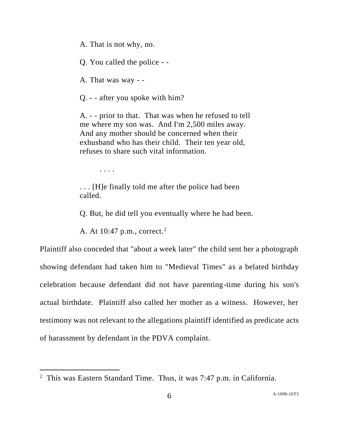A. That is not why, no.

Q. You called the police - -

A. That was way - -

Q. - - after you spoke with him?

A. - - prior to that. That was when he refused to tell me where my son was. And I'm 2,500 miles away. And any mother should be concerned when their exhusband who has their child. Their ten year old, refuses to share such vital information.

. . . .

 $\overline{a}$ 

. . . [H]e finally told me after the police had been called.

Q. But, he did tell you eventually where he had been.

A. At 10:47 p.m., correct.<sup>2</sup>

Plaintiff also conceded that "about a week later" the child sent her a photograph showing defendant had taken him to "Medieval Times" as a belated birthday celebration because defendant did not have parenting-time during his son's actual birthdate. Plaintiff also called her mother as a witness. However, her testimony was not relevant to the allegations plaintiff identified as predicate acts of harassment by defendant in the PDVA complaint.

<sup>&</sup>lt;sup>2</sup> This was Eastern Standard Time. Thus, it was 7:47 p.m. in California.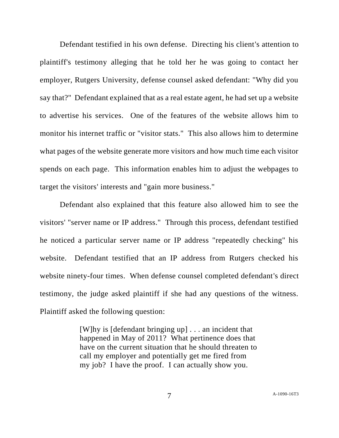Defendant testified in his own defense. Directing his client's attention to plaintiff's testimony alleging that he told her he was going to contact her employer, Rutgers University, defense counsel asked defendant: "Why did you say that?" Defendant explained that as a real estate agent, he had set up a website to advertise his services. One of the features of the website allows him to monitor his internet traffic or "visitor stats." This also allows him to determine what pages of the website generate more visitors and how much time each visitor spends on each page. This information enables him to adjust the webpages to target the visitors' interests and "gain more business."

Defendant also explained that this feature also allowed him to see the visitors' "server name or IP address." Through this process, defendant testified he noticed a particular server name or IP address "repeatedly checking" his website. Defendant testified that an IP address from Rutgers checked his website ninety-four times. When defense counsel completed defendant's direct testimony, the judge asked plaintiff if she had any questions of the witness. Plaintiff asked the following question:

> [W]hy is [defendant bringing up] . . . an incident that happened in May of 2011? What pertinence does that have on the current situation that he should threaten to call my employer and potentially get me fired from my job? I have the proof. I can actually show you.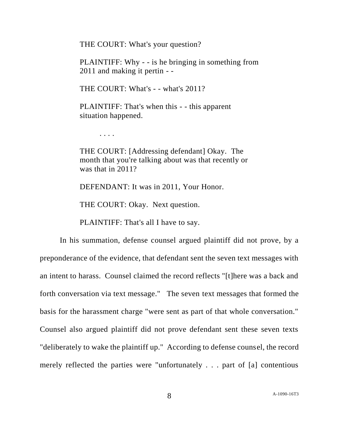THE COURT: What's your question?

PLAINTIFF: Why - - is he bringing in something from 2011 and making it pertin - -

THE COURT: What's - - what's 2011?

PLAINTIFF: That's when this - - this apparent situation happened.

. . . .

THE COURT: [Addressing defendant] Okay. The month that you're talking about was that recently or was that in 2011?

DEFENDANT: It was in 2011, Your Honor.

THE COURT: Okay. Next question.

PLAINTIFF: That's all I have to say.

In his summation, defense counsel argued plaintiff did not prove, by a preponderance of the evidence, that defendant sent the seven text messages with an intent to harass. Counsel claimed the record reflects "[t]here was a back and forth conversation via text message." The seven text messages that formed the basis for the harassment charge "were sent as part of that whole conversation." Counsel also argued plaintiff did not prove defendant sent these seven texts "deliberately to wake the plaintiff up." According to defense counsel, the record merely reflected the parties were "unfortunately . . . part of [a] contentious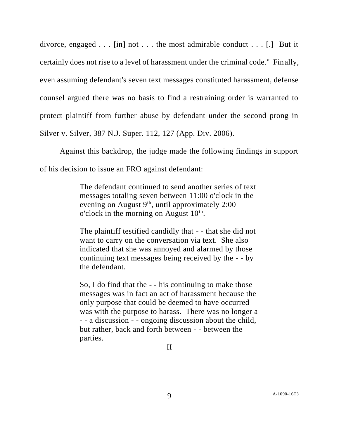divorce, engaged . . . [in] not . . . the most admirable conduct . . . [.] But it certainly does not rise to a level of harassment under the criminal code." Finally, even assuming defendant's seven text messages constituted harassment, defense counsel argued there was no basis to find a restraining order is warranted to protect plaintiff from further abuse by defendant under the second prong in Silver v. Silver, 387 N.J. Super. 112, 127 (App. Div. 2006).

Against this backdrop, the judge made the following findings in support of his decision to issue an FRO against defendant:

> The defendant continued to send another series of text messages totaling seven between 11:00 o'clock in the evening on August  $9<sup>th</sup>$ , until approximately 2:00 o'clock in the morning on August  $10<sup>th</sup>$ .

> The plaintiff testified candidly that - - that she did not want to carry on the conversation via text. She also indicated that she was annoyed and alarmed by those continuing text messages being received by the - - by the defendant.

So, I do find that the - - his continuing to make those messages was in fact an act of harassment because the only purpose that could be deemed to have occurred was with the purpose to harass. There was no longer a - - a discussion - - ongoing discussion about the child, but rather, back and forth between - - between the parties.

II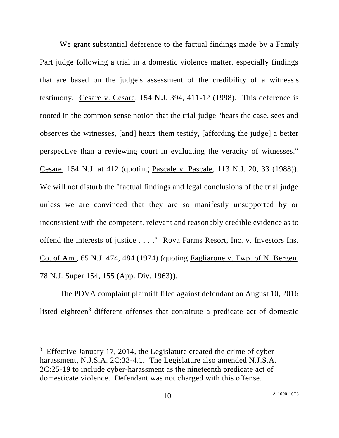We grant substantial deference to the factual findings made by a Family Part judge following a trial in a domestic violence matter, especially findings that are based on the judge's assessment of the credibility of a witness's testimony. Cesare v. Cesare, 154 N.J. 394, 411-12 (1998). This deference is rooted in the common sense notion that the trial judge "hears the case, sees and observes the witnesses, [and] hears them testify, [affording the judge] a better perspective than a reviewing court in evaluating the veracity of witnesses." Cesare, 154 N.J. at 412 (quoting Pascale v. Pascale, 113 N.J. 20, 33 (1988)). We will not disturb the "factual findings and legal conclusions of the trial judge unless we are convinced that they are so manifestly unsupported by or inconsistent with the competent, relevant and reasonably credible evidence as to offend the interests of justice . . . ." Rova Farms Resort, Inc. v. Investors Ins. Co. of Am., 65 N.J. 474, 484 (1974) (quoting Fagliarone v. Twp. of N. Bergen, 78 N.J. Super 154, 155 (App. Div. 1963)).

The PDVA complaint plaintiff filed against defendant on August 10, 2016 listed eighteen<sup>3</sup> different offenses that constitute a predicate act of domestic

l

 $3$  Effective January 17, 2014, the Legislature created the crime of cyberharassment, N.J.S.A. 2C:33-4.1. The Legislature also amended N.J.S.A. 2C:25-19 to include cyber-harassment as the nineteenth predicate act of domesticate violence. Defendant was not charged with this offense.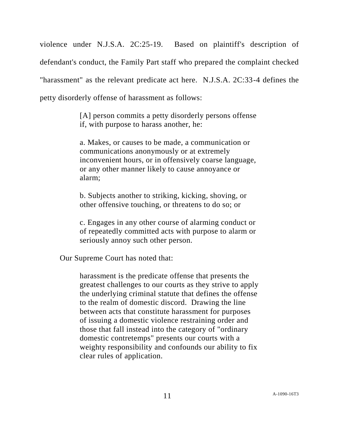violence under N.J.S.A. 2C:25-19. Based on plaintiff's description of defendant's conduct, the Family Part staff who prepared the complaint checked "harassment" as the relevant predicate act here. N.J.S.A. 2C:33-4 defines the petty disorderly offense of harassment as follows:

> [A] person commits a petty disorderly persons offense if, with purpose to harass another, he:

> a. Makes, or causes to be made, a communication or communications anonymously or at extremely inconvenient hours, or in offensively coarse language, or any other manner likely to cause annoyance or alarm;

b. Subjects another to striking, kicking, shoving, or other offensive touching, or threatens to do so; or

c. Engages in any other course of alarming conduct or of repeatedly committed acts with purpose to alarm or seriously annoy such other person.

Our Supreme Court has noted that:

harassment is the predicate offense that presents the greatest challenges to our courts as they strive to apply the underlying criminal statute that defines the offense to the realm of domestic discord. Drawing the line between acts that constitute harassment for purposes of issuing a domestic violence restraining order and those that fall instead into the category of "ordinary domestic contretemps" presents our courts with a weighty responsibility and confounds our ability to fix clear rules of application.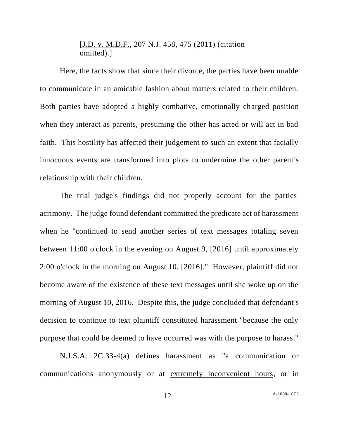## [J.D. v. M.D.F., 207 N.J. 458, 475 (2011) (citation omitted).]

Here, the facts show that since their divorce, the parties have been unable to communicate in an amicable fashion about matters related to their children. Both parties have adopted a highly combative, emotionally charged position when they interact as parents, presuming the other has acted or will act in bad faith. This hostility has affected their judgement to such an extent that facially innocuous events are transformed into plots to undermine the other parent's relationship with their children.

The trial judge's findings did not properly account for the parties' acrimony. The judge found defendant committed the predicate act of harassment when he "continued to send another series of text messages totaling seven between 11:00 o'clock in the evening on August 9, [2016] until approximately 2:00 o'clock in the morning on August 10, [2016]." However, plaintiff did not become aware of the existence of these text messages until she woke up on the morning of August 10, 2016. Despite this, the judge concluded that defendant's decision to continue to text plaintiff constituted harassment "because the only purpose that could be deemed to have occurred was with the purpose to harass."

N.J.S.A. 2C:33-4(a) defines harassment as "a communication or communications anonymously or at extremely inconvenient hours, or in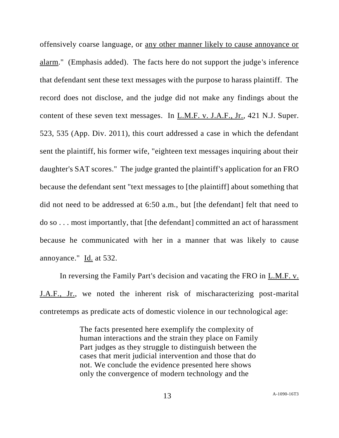offensively coarse language, or any other manner likely to cause annoyance or alarm." (Emphasis added). The facts here do not support the judge's inference that defendant sent these text messages with the purpose to harass plaintiff. The record does not disclose, and the judge did not make any findings about the content of these seven text messages. In L.M.F. v. J.A.F., Jr., 421 N.J. Super. 523, 535 (App. Div. 2011), this court addressed a case in which the defendant sent the plaintiff, his former wife, "eighteen text messages inquiring about their daughter's SAT scores." The judge granted the plaintiff's application for an FRO because the defendant sent "text messages to [the plaintiff] about something that did not need to be addressed at 6:50 a.m., but [the defendant] felt that need to do so . . . most importantly, that [the defendant] committed an act of harassment because he communicated with her in a manner that was likely to cause annoyance." Id. at 532.

In reversing the Family Part's decision and vacating the FRO in L.M.F. v. J.A.F., Jr., we noted the inherent risk of mischaracterizing post-marital contretemps as predicate acts of domestic violence in our technological age:

> The facts presented here exemplify the complexity of human interactions and the strain they place on Family Part judges as they struggle to distinguish between the cases that merit judicial intervention and those that do not. We conclude the evidence presented here shows only the convergence of modern technology and the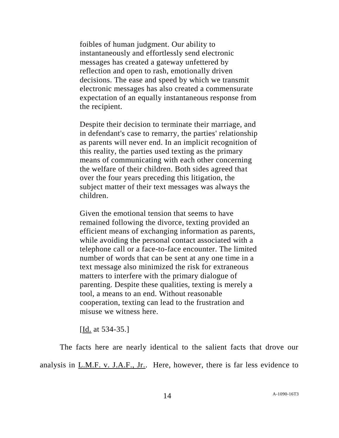foibles of human judgment. Our ability to instantaneously and effortlessly send electronic messages has created a gateway unfettered by reflection and open to rash, emotionally driven decisions. The ease and speed by which we transmit electronic messages has also created a commensurate expectation of an equally instantaneous response from the recipient.

Despite their decision to terminate their marriage, and in defendant's case to remarry, the parties' relationship as parents will never end. In an implicit recognition of this reality, the parties used texting as the primary means of communicating with each other concerning the welfare of their children. Both sides agreed that over the four years preceding this litigation, the subject matter of their text messages was always the children.

Given the emotional tension that seems to have remained following the divorce, texting provided an efficient means of exchanging information as parents, while avoiding the personal contact associated with a telephone call or a face-to-face encounter. The limited number of words that can be sent at any one time in a text message also minimized the risk for extraneous matters to interfere with the primary dialogue of parenting. Despite these qualities, texting is merely a tool, a means to an end. Without reasonable cooperation, texting can lead to the frustration and misuse we witness here.

[Id. at 534-35.]

The facts here are nearly identical to the salient facts that drove our analysis in L.M.F. v. J.A.F., Jr.. Here, however, there is far less evidence to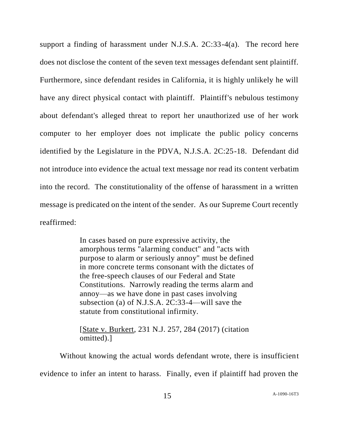support a finding of harassment under N.J.S.A. 2C:33-4(a). The record here does not disclose the content of the seven text messages defendant sent plaintiff. Furthermore, since defendant resides in California, it is highly unlikely he will have any direct physical contact with plaintiff. Plaintiff's nebulous testimony about defendant's alleged threat to report her unauthorized use of her work computer to her employer does not implicate the public policy concerns identified by the Legislature in the PDVA, N.J.S.A. 2C:25-18. Defendant did not introduce into evidence the actual text message nor read its content verbatim into the record. The constitutionality of the offense of harassment in a written message is predicated on the intent of the sender. As our Supreme Court recently reaffirmed:

> In cases based on pure expressive activity, the amorphous terms "alarming conduct" and "acts with purpose to alarm or seriously annoy" must be defined in more concrete terms consonant with the dictates of the free-speech clauses of our Federal and State Constitutions. Narrowly reading the terms alarm and annoy—as we have done in past cases involving subsection (a) of N.J.S.A. 2C:33-4—will save the statute from constitutional infirmity.

[State v. Burkert, 231 N.J. 257, 284 (2017) (citation omitted).]

Without knowing the actual words defendant wrote, there is insufficient evidence to infer an intent to harass. Finally, even if plaintiff had proven the